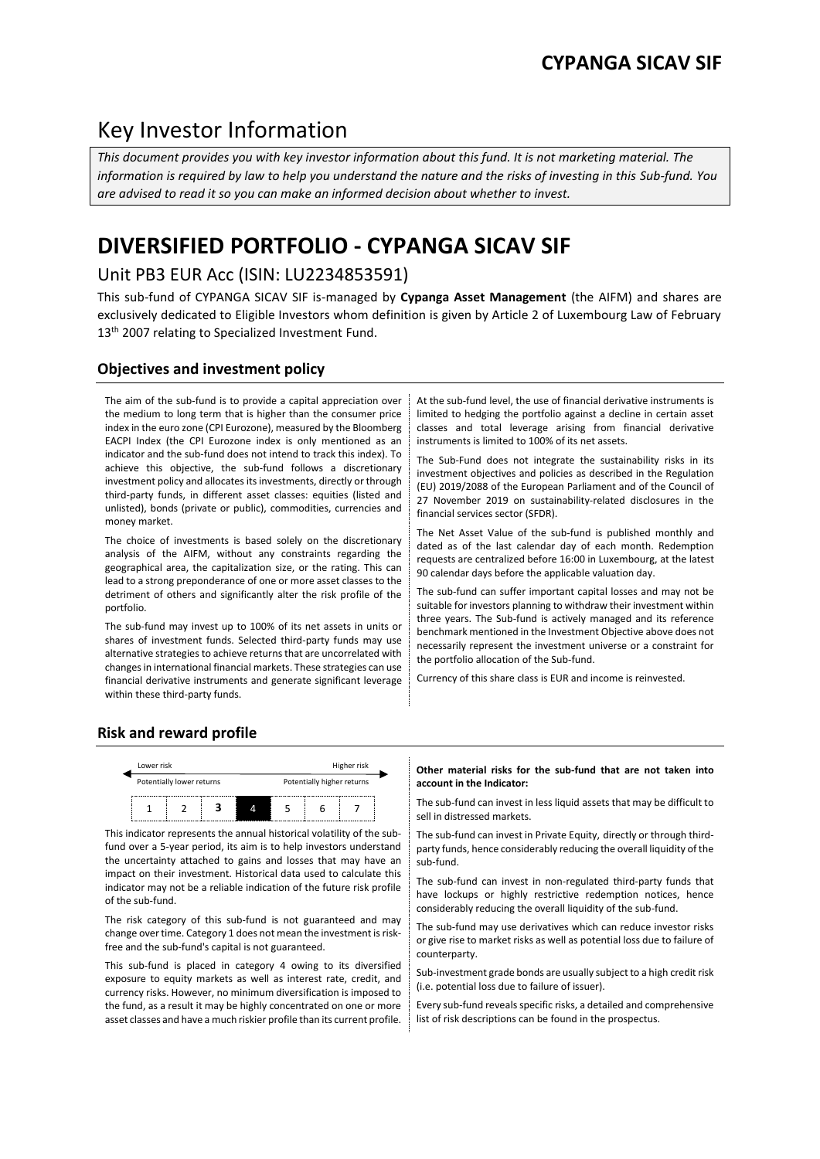# Key Investor Information

*This document provides you with key investor information about this fund. It is not marketing material. The information is required by law to help you understand the nature and the risks of investing in this Sub-fund. You are advised to read it so you can make an informed decision about whether to invest.*

# **DIVERSIFIED PORTFOLIO - CYPANGA SICAV SIF**

## Unit PB3 EUR Acc (ISIN: LU2234853591)

This sub-fund of CYPANGA SICAV SIF is-managed by **Cypanga Asset Management** (the AIFM) and shares are exclusively dedicated to Eligible Investors whom definition is given by Article 2 of Luxembourg Law of February 13<sup>th</sup> 2007 relating to Specialized Investment Fund.

## **Objectives and investment policy**

The aim of the sub-fund is to provide a capital appreciation over the medium to long term that is higher than the consumer price index in the euro zone (CPI Eurozone), measured by the Bloomberg EACPI Index (the CPI Eurozone index is only mentioned as an indicator and the sub-fund does not intend to track this index). To achieve this objective, the sub-fund follows a discretionary investment policy and allocates its investments, directly or through third-party funds, in different asset classes: equities (listed and unlisted), bonds (private or public), commodities, currencies and money market.

The choice of investments is based solely on the discretionary analysis of the AIFM, without any constraints regarding the geographical area, the capitalization size, or the rating. This can lead to a strong preponderance of one or more asset classes to the detriment of others and significantly alter the risk profile of the portfolio.

The sub-fund may invest up to 100% of its net assets in units or shares of investment funds. Selected third-party funds may use alternative strategies to achieve returns that are uncorrelated with changes in international financial markets. These strategies can use financial derivative instruments and generate significant leverage within these third-party funds.

At the sub-fund level, the use of financial derivative instruments is limited to hedging the portfolio against a decline in certain asset classes and total leverage arising from financial derivative instruments is limited to 100% of its net assets.

The Sub-Fund does not integrate the sustainability risks in its investment objectives and policies as described in the Regulation (EU) 2019/2088 of the European Parliament and of the Council of 27 November 2019 on sustainability-related disclosures in the financial services sector (SFDR).

The Net Asset Value of the sub-fund is published monthly and dated as of the last calendar day of each month. Redemption requests are centralized before 16:00 in Luxembourg, at the latest 90 calendar days before the applicable valuation day.

The sub-fund can suffer important capital losses and may not be suitable for investors planning to withdraw their investment within three years. The Sub-fund is actively managed and its reference benchmark mentioned in the Investment Objective above does not necessarily represent the investment universe or a constraint for the portfolio allocation of the Sub-fund.

Currency of this share class is EUR and income is reinvested.

## **Risk and reward profile**



This indicator represents the annual historical volatility of the subfund over a 5-year period, its aim is to help investors understand the uncertainty attached to gains and losses that may have an impact on their investment. Historical data used to calculate this indicator may not be a reliable indication of the future risk profile of the sub-fund.

The risk category of this sub-fund is not guaranteed and may change over time. Category 1 does not mean the investment is riskfree and the sub-fund's capital is not guaranteed.

This sub-fund is placed in category 4 owing to its diversified exposure to equity markets as well as interest rate, credit, and currency risks. However, no minimum diversification is imposed to the fund, as a result it may be highly concentrated on one or more asset classes and have a much riskier profile than its current profile.

#### **Other material risks for the sub-fund that are not taken into account in the Indicator:**

The sub-fund can invest in less liquid assets that may be difficult to sell in distressed markets.

The sub-fund can invest in Private Equity, directly or through thirdparty funds, hence considerably reducing the overall liquidity of the sub-fund.

The sub-fund can invest in non-regulated third-party funds that have lockups or highly restrictive redemption notices, hence considerably reducing the overall liquidity of the sub-fund.

The sub-fund may use derivatives which can reduce investor risks or give rise to market risks as well as potential loss due to failure of counterparty.

Sub-investment grade bonds are usually subject to a high credit risk (i.e. potential loss due to failure of issuer).

Every sub-fund reveals specific risks, a detailed and comprehensive list of risk descriptions can be found in the prospectus.